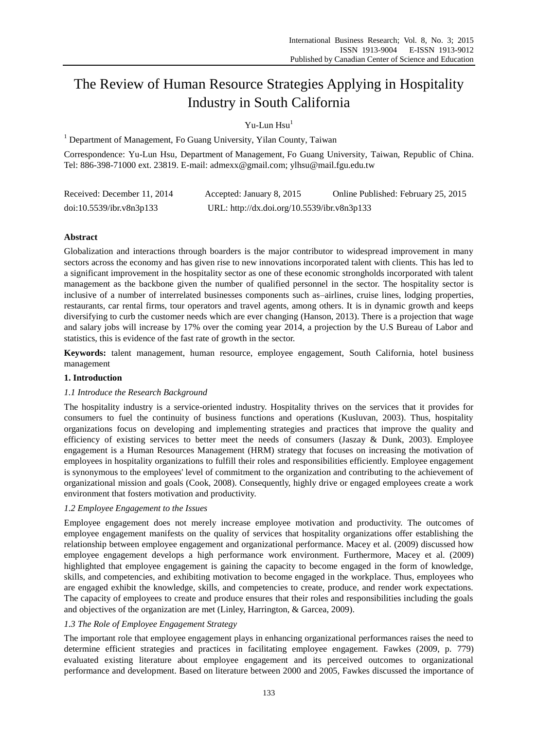# The Review of Human Resource Strategies Applying in Hospitality Industry in South California

Yu-Lun Hsu<sup>1</sup>

<sup>1</sup> Department of Management, Fo Guang University, Yilan County, Taiwan

Correspondence: Yu-Lun Hsu, Department of Management, Fo Guang University, Taiwan, Republic of China. Tel: 886-398-71000 ext. 23819. E-mail: admexx@gmail.com; ylhsu@mail.fgu.edu.tw

| Received: December 11, 2014 | Accepted: January 8, 2015                   | Online Published: February 25, 2015 |
|-----------------------------|---------------------------------------------|-------------------------------------|
| doi:10.5539/ibr.v8n3p133    | URL: http://dx.doi.org/10.5539/ibr.v8n3p133 |                                     |

# **Abstract**

Globalization and interactions through boarders is the major contributor to widespread improvement in many sectors across the economy and has given rise to new innovations incorporated talent with clients. This has led to a significant improvement in the hospitality sector as one of these economic strongholds incorporated with talent management as the backbone given the number of qualified personnel in the sector. The hospitality sector is inclusive of a number of interrelated businesses components such as–airlines, cruise lines, lodging properties, restaurants, car rental firms, tour operators and travel agents, among others. It is in dynamic growth and keeps diversifying to curb the customer needs which are ever changing (Hanson, 2013). There is a projection that wage and salary jobs will increase by 17% over the coming year 2014, a projection by the U.S Bureau of Labor and statistics, this is evidence of the fast rate of growth in the sector.

**Keywords:** talent management, human resource, employee engagement, South California, hotel business management

## **1. Introduction**

## *1.1 Introduce the Research Background*

The hospitality industry is a service-oriented industry. Hospitality thrives on the services that it provides for consumers to fuel the continuity of business functions and operations (Kusluvan, 2003). Thus, hospitality organizations focus on developing and implementing strategies and practices that improve the quality and efficiency of existing services to better meet the needs of consumers (Jaszay & Dunk, 2003). Employee engagement is a Human Resources Management (HRM) strategy that focuses on increasing the motivation of employees in hospitality organizations to fulfill their roles and responsibilities efficiently. Employee engagement is synonymous to the employees' level of commitment to the organization and contributing to the achievement of organizational mission and goals (Cook, 2008). Consequently, highly drive or engaged employees create a work environment that fosters motivation and productivity.

## *1.2 Employee Engagement to the Issues*

Employee engagement does not merely increase employee motivation and productivity. The outcomes of employee engagement manifests on the quality of services that hospitality organizations offer establishing the relationship between employee engagement and organizational performance. Macey et al. (2009) discussed how employee engagement develops a high performance work environment. Furthermore, Macey et al. (2009) highlighted that employee engagement is gaining the capacity to become engaged in the form of knowledge, skills, and competencies, and exhibiting motivation to become engaged in the workplace. Thus, employees who are engaged exhibit the knowledge, skills, and competencies to create, produce, and render work expectations. The capacity of employees to create and produce ensures that their roles and responsibilities including the goals and objectives of the organization are met (Linley, Harrington, & Garcea, 2009).

## *1.3 The Role of Employee Engagement Strategy*

The important role that employee engagement plays in enhancing organizational performances raises the need to determine efficient strategies and practices in facilitating employee engagement. Fawkes (2009, p. 779) evaluated existing literature about employee engagement and its perceived outcomes to organizational performance and development. Based on literature between 2000 and 2005, Fawkes discussed the importance of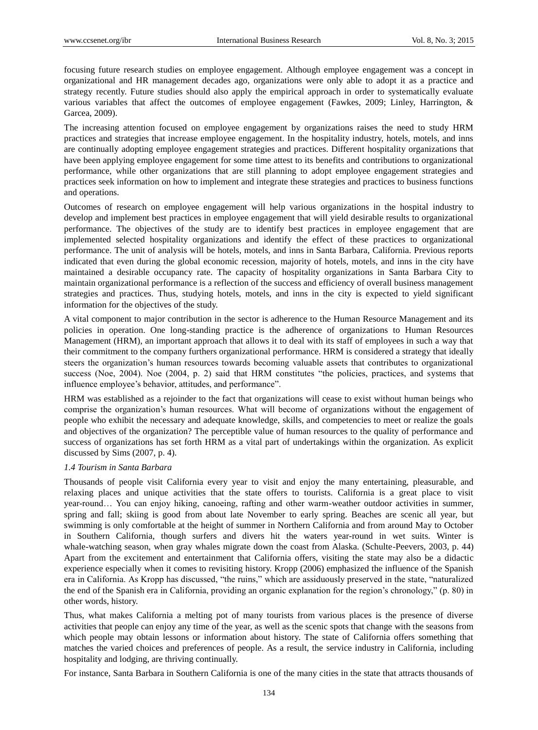focusing future research studies on employee engagement. Although employee engagement was a concept in organizational and HR management decades ago, organizations were only able to adopt it as a practice and strategy recently. Future studies should also apply the empirical approach in order to systematically evaluate various variables that affect the outcomes of employee engagement (Fawkes, 2009; Linley, Harrington, & Garcea, 2009).

The increasing attention focused on employee engagement by organizations raises the need to study HRM practices and strategies that increase employee engagement. In the hospitality industry, hotels, motels, and inns are continually adopting employee engagement strategies and practices. Different hospitality organizations that have been applying employee engagement for some time attest to its benefits and contributions to organizational performance, while other organizations that are still planning to adopt employee engagement strategies and practices seek information on how to implement and integrate these strategies and practices to business functions and operations.

Outcomes of research on employee engagement will help various organizations in the hospital industry to develop and implement best practices in employee engagement that will yield desirable results to organizational performance. The objectives of the study are to identify best practices in employee engagement that are implemented selected hospitality organizations and identify the effect of these practices to organizational performance. The unit of analysis will be hotels, motels, and inns in Santa Barbara, California. Previous reports indicated that even during the global economic recession, majority of hotels, motels, and inns in the city have maintained a desirable occupancy rate. The capacity of hospitality organizations in Santa Barbara City to maintain organizational performance is a reflection of the success and efficiency of overall business management strategies and practices. Thus, studying hotels, motels, and inns in the city is expected to yield significant information for the objectives of the study.

A vital component to major contribution in the sector is adherence to the Human Resource Management and its policies in operation. One long-standing practice is the adherence of organizations to Human Resources Management (HRM), an important approach that allows it to deal with its staff of employees in such a way that their commitment to the company furthers organizational performance. HRM is considered a strategy that ideally steers the organization's human resources towards becoming valuable assets that contributes to organizational success (Noe, 2004). Noe (2004, p. 2) said that HRM constitutes "the policies, practices, and systems that influence employee's behavior, attitudes, and performance".

HRM was established as a rejoinder to the fact that organizations will cease to exist without human beings who comprise the organization's human resources. What will become of organizations without the engagement of people who exhibit the necessary and adequate knowledge, skills, and competencies to meet or realize the goals and objectives of the organization? The perceptible value of human resources to the quality of performance and success of organizations has set forth HRM as a vital part of undertakings within the organization. As explicit discussed by Sims (2007, p. 4).

## *1.4 Tourism in Santa Barbara*

Thousands of people visit California every year to visit and enjoy the many entertaining, pleasurable, and relaxing places and unique activities that the state offers to tourists. California is a great place to visit year-round… You can enjoy hiking, canoeing, rafting and other warm-weather outdoor activities in summer, spring and fall; skiing is good from about late November to early spring. Beaches are scenic all year, but swimming is only comfortable at the height of summer in Northern California and from around May to October in Southern California, though surfers and divers hit the waters year-round in wet suits. Winter is whale-watching season, when gray whales migrate down the coast from Alaska. (Schulte-Peevers, 2003, p. 44) Apart from the excitement and entertainment that California offers, visiting the state may also be a didactic experience especially when it comes to revisiting history. Kropp (2006) emphasized the influence of the Spanish era in California. As Kropp has discussed, "the ruins," which are assiduously preserved in the state, "naturalized the end of the Spanish era in California, providing an organic explanation for the region's chronology," (p. 80) in other words, history.

Thus, what makes California a melting pot of many tourists from various places is the presence of diverse activities that people can enjoy any time of the year, as well as the scenic spots that change with the seasons from which people may obtain lessons or information about history. The state of California offers something that matches the varied choices and preferences of people. As a result, the service industry in California, including hospitality and lodging, are thriving continually.

For instance, Santa Barbara in Southern California is one of the many cities in the state that attracts thousands of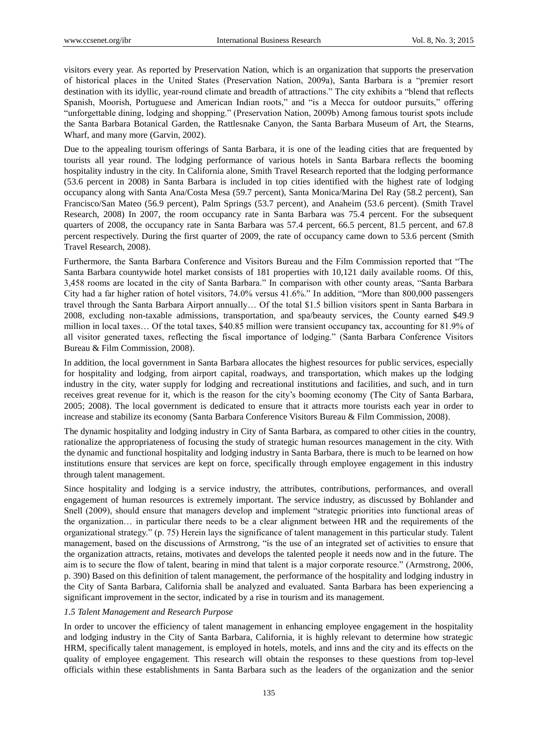visitors every year. As reported by Preservation Nation, which is an organization that supports the preservation of historical places in the United States (Preservation Nation, 2009a), Santa Barbara is a "premier resort destination with its idyllic, year-round climate and breadth of attractions." The city exhibits a "blend that reflects Spanish, Moorish, Portuguese and American Indian roots," and "is a Mecca for outdoor pursuits," offering "unforgettable dining, lodging and shopping." (Preservation Nation, 2009b) Among famous tourist spots include the Santa Barbara Botanical Garden, the Rattlesnake Canyon, the Santa Barbara Museum of Art, the Stearns, Wharf, and many more (Garvin, 2002).

Due to the appealing tourism offerings of Santa Barbara, it is one of the leading cities that are frequented by tourists all year round. The lodging performance of various hotels in Santa Barbara reflects the booming hospitality industry in the city. In California alone, Smith Travel Research reported that the lodging performance (53.6 percent in 2008) in Santa Barbara is included in top cities identified with the highest rate of lodging occupancy along with Santa Ana/Costa Mesa (59.7 percent), Santa Monica/Marina Del Ray (58.2 percent), San Francisco/San Mateo (56.9 percent), Palm Springs (53.7 percent), and Anaheim (53.6 percent). (Smith Travel Research, 2008) In 2007, the room occupancy rate in Santa Barbara was 75.4 percent. For the subsequent quarters of 2008, the occupancy rate in Santa Barbara was 57.4 percent, 66.5 percent, 81.5 percent, and 67.8 percent respectively. During the first quarter of 2009, the rate of occupancy came down to 53.6 percent (Smith Travel Research, 2008).

Furthermore, the Santa Barbara Conference and Visitors Bureau and the Film Commission reported that "The Santa Barbara countywide hotel market consists of 181 properties with 10,121 daily available rooms. Of this, 3,458 rooms are located in the city of Santa Barbara." In comparison with other county areas, "Santa Barbara City had a far higher ration of hotel visitors, 74.0% versus 41.6%." In addition, "More than 800,000 passengers travel through the Santa Barbara Airport annually… Of the total \$1.5 billion visitors spent in Santa Barbara in 2008, excluding non-taxable admissions, transportation, and spa/beauty services, the County earned \$49.9 million in local taxes… Of the total taxes, \$40.85 million were transient occupancy tax, accounting for 81.9% of all visitor generated taxes, reflecting the fiscal importance of lodging." (Santa Barbara Conference Visitors Bureau & Film Commission, 2008).

In addition, the local government in Santa Barbara allocates the highest resources for public services, especially for hospitality and lodging, from airport capital, roadways, and transportation, which makes up the lodging industry in the city, water supply for lodging and recreational institutions and facilities, and such, and in turn receives great revenue for it, which is the reason for the city's booming economy (The City of Santa Barbara, 2005; 2008). The local government is dedicated to ensure that it attracts more tourists each year in order to increase and stabilize its economy (Santa Barbara Conference Visitors Bureau & Film Commission, 2008).

The dynamic hospitality and lodging industry in City of Santa Barbara, as compared to other cities in the country, rationalize the appropriateness of focusing the study of strategic human resources management in the city. With the dynamic and functional hospitality and lodging industry in Santa Barbara, there is much to be learned on how institutions ensure that services are kept on force, specifically through employee engagement in this industry through talent management.

Since hospitality and lodging is a service industry, the attributes, contributions, performances, and overall engagement of human resources is extremely important. The service industry, as discussed by Bohlander and Snell (2009), should ensure that managers develop and implement "strategic priorities into functional areas of the organization… in particular there needs to be a clear alignment between HR and the requirements of the organizational strategy." (p. 75) Herein lays the significance of talent management in this particular study. Talent management, based on the discussions of Armstrong, "is the use of an integrated set of activities to ensure that the organization attracts, retains, motivates and develops the talented people it needs now and in the future. The aim is to secure the flow of talent, bearing in mind that talent is a major corporate resource." (Armstrong, 2006, p. 390) Based on this definition of talent management, the performance of the hospitality and lodging industry in the City of Santa Barbara, California shall be analyzed and evaluated. Santa Barbara has been experiencing a significant improvement in the sector, indicated by a rise in tourism and its management.

## *1.5 Talent Management and Research Purpose*

In order to uncover the efficiency of talent management in enhancing employee engagement in the hospitality and lodging industry in the City of Santa Barbara, California, it is highly relevant to determine how strategic HRM, specifically talent management, is employed in hotels, motels, and inns and the city and its effects on the quality of employee engagement. This research will obtain the responses to these questions from top-level officials within these establishments in Santa Barbara such as the leaders of the organization and the senior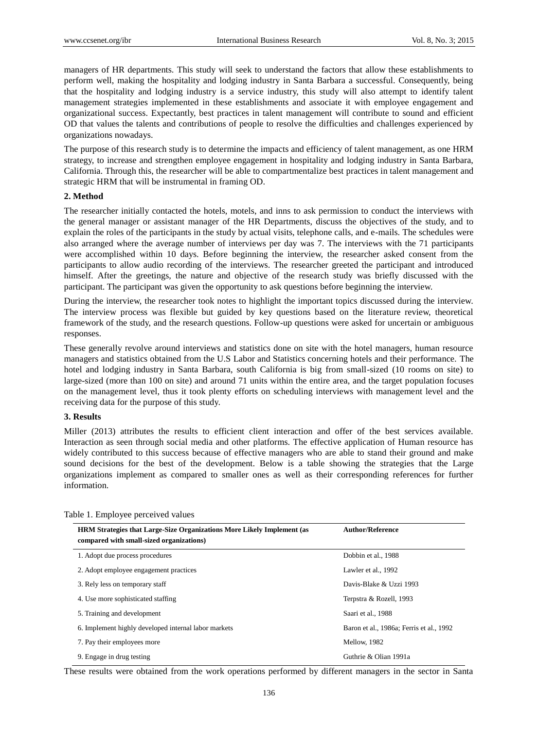managers of HR departments. This study will seek to understand the factors that allow these establishments to perform well, making the hospitality and lodging industry in Santa Barbara a successful. Consequently, being that the hospitality and lodging industry is a service industry, this study will also attempt to identify talent management strategies implemented in these establishments and associate it with employee engagement and organizational success. Expectantly, best practices in talent management will contribute to sound and efficient OD that values the talents and contributions of people to resolve the difficulties and challenges experienced by organizations nowadays.

The purpose of this research study is to determine the impacts and efficiency of talent management, as one HRM strategy, to increase and strengthen employee engagement in hospitality and lodging industry in Santa Barbara, California. Through this, the researcher will be able to compartmentalize best practices in talent management and strategic HRM that will be instrumental in framing OD.

# **2. Method**

The researcher initially contacted the hotels, motels, and inns to ask permission to conduct the interviews with the general manager or assistant manager of the HR Departments, discuss the objectives of the study, and to explain the roles of the participants in the study by actual visits, telephone calls, and e-mails. The schedules were also arranged where the average number of interviews per day was 7. The interviews with the 71 participants were accomplished within 10 days. Before beginning the interview, the researcher asked consent from the participants to allow audio recording of the interviews. The researcher greeted the participant and introduced himself. After the greetings, the nature and objective of the research study was briefly discussed with the participant. The participant was given the opportunity to ask questions before beginning the interview.

During the interview, the researcher took notes to highlight the important topics discussed during the interview. The interview process was flexible but guided by key questions based on the literature review, theoretical framework of the study, and the research questions. Follow-up questions were asked for uncertain or ambiguous responses.

These generally revolve around interviews and statistics done on site with the hotel managers, human resource managers and statistics obtained from the U.S Labor and Statistics concerning hotels and their performance. The hotel and lodging industry in Santa Barbara, south California is big from small-sized (10 rooms on site) to large-sized (more than 100 on site) and around 71 units within the entire area, and the target population focuses on the management level, thus it took plenty efforts on scheduling interviews with management level and the receiving data for the purpose of this study.

# **3. Results**

Miller (2013) attributes the results to efficient client interaction and offer of the best services available. Interaction as seen through social media and other platforms. The effective application of Human resource has widely contributed to this success because of effective managers who are able to stand their ground and make sound decisions for the best of the development. Below is a table showing the strategies that the Large organizations implement as compared to smaller ones as well as their corresponding references for further information.

| <b>HRM</b> Strategies that Large-Size Organizations More Likely Implement (as<br>compared with small-sized organizations) | <b>Author/Reference</b>                  |
|---------------------------------------------------------------------------------------------------------------------------|------------------------------------------|
| 1. Adopt due process procedures                                                                                           | Dobbin et al., 1988                      |
| 2. Adopt employee engagement practices                                                                                    | Lawler et al., 1992                      |
| 3. Rely less on temporary staff                                                                                           | Davis-Blake & Uzzi 1993                  |
| 4. Use more sophisticated staffing                                                                                        | Terpstra & Rozell, 1993                  |
| 5. Training and development                                                                                               | Saari et al., 1988                       |
| 6. Implement highly developed internal labor markets                                                                      | Baron et al., 1986a; Ferris et al., 1992 |
| 7. Pay their employees more                                                                                               | Mellow, 1982                             |
| 9. Engage in drug testing                                                                                                 | Guthrie & Olian 1991a                    |

Table 1. Employee perceived values

These results were obtained from the work operations performed by different managers in the sector in Santa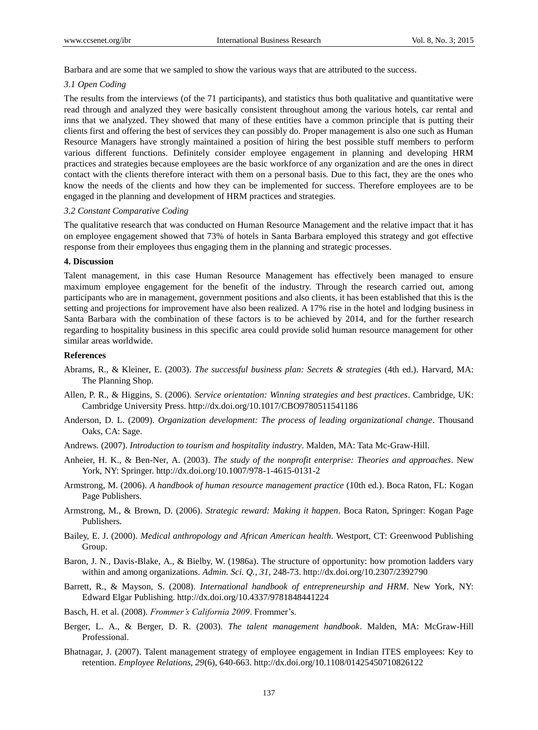Barbara and are some that we sampled to show the various ways that are attributed to the success.

#### *3.1 Open Coding*

The results from the interviews (of the 71 participants), and statistics thus both qualitative and quantitative were read through and analyzed they were basically consistent throughout among the various hotels, car rental and inns that we analyzed. They showed that many of these entities have a common principle that is putting their clients first and offering the best of services they can possibly do. Proper management is also one such as Human Resource Managers have strongly maintained a position of hiring the best possible stuff members to perform various different functions. Definitely consider employee engagement in planning and developing HRM practices and strategies because employees are the basic workforce of any organization and are the ones in direct contact with the clients therefore interact with them on a personal basis. Due to this fact, they are the ones who know the needs of the clients and how they can be implemented for success. Therefore employees are to be engaged in the planning and development of HRM practices and strategies.

#### *3.2 Constant Comparative Coding*

The qualitative research that was conducted on Human Resource Management and the relative impact that it has on employee engagement showed that 73% of hotels in Santa Barbara employed this strategy and got effective response from their employees thus engaging them in the planning and strategic processes.

# **4. Discussion**

Talent management, in this case Human Resource Management has effectively been managed to ensure maximum employee engagement for the benefit of the industry. Through the research carried out, among participants who are in management, government positions and also clients, it has been established that this is the setting and projections for improvement have also been realized. A 17% rise in the hotel and lodging business in Santa Barbara with the combination of these factors is to be achieved by 2014, and for the further research regarding to hospitality business in this specific area could provide solid human resource management for other similar areas worldwide.

## **References**

- Abrams, R., & Kleiner, E. (2003). *The successful business plan: Secrets & strategies* (4th ed.). Harvard, MA: The Planning Shop.
- Allen, P. R., & Higgins, S. (2006). *Service orientation: Winning strategies and best practices*. Cambridge, UK: Cambridge University Press. http://dx.doi.org/10.1017/CBO9780511541186
- Anderson, D. L. (2009). *Organization development: The process of leading organizational change*. Thousand Oaks, CA: Sage.
- Andrews. (2007). *Introduction to tourism and hospitality industry*. Malden, MA: Tata Mc-Graw-Hill.
- Anheier, H. K., & Ben-Ner, A. (2003). *The study of the nonprofit enterprise: Theories and approaches*. New York, NY: Springer. http://dx.doi.org/10.1007/978-1-4615-0131-2
- Armstrong, M. (2006). *A handbook of human resource management practice* (10th ed.). Boca Raton, FL: Kogan Page Publishers.
- Armstrong, M., & Brown, D. (2006). *Strategic reward: Making it happen*. Boca Raton, Springer: Kogan Page Publishers.
- Bailey, E. J. (2000). *Medical anthropology and African American health*. Westport, CT: Greenwood Publishing Group.
- Baron, J. N., Davis-Blake, A., & Bielby, W. (1986a). The structure of opportunity: how promotion ladders vary within and among organizations. *Admin. Sci. Q., 31*, 248-73. http://dx.doi.org/10.2307/2392790
- Barrett, R., & Mayson, S. (2008). *International handbook of entrepreneurship and HRM*. New York, NY: Edward Elgar Publishing. http://dx.doi.org/10.4337/9781848441224
- Basch, H. et al. (2008). *Frommer's California 2009*. Frommer's.
- Berger, L. A., & Berger, D. R. (2003). *The talent management handbook*. Malden, MA: McGraw-Hill Professional.
- Bhatnagar, J. (2007). Talent management strategy of employee engagement in Indian ITES employees: Key to retention. *Employee Relations, 29*(6), 640-663. http://dx.doi.org/10.1108/01425450710826122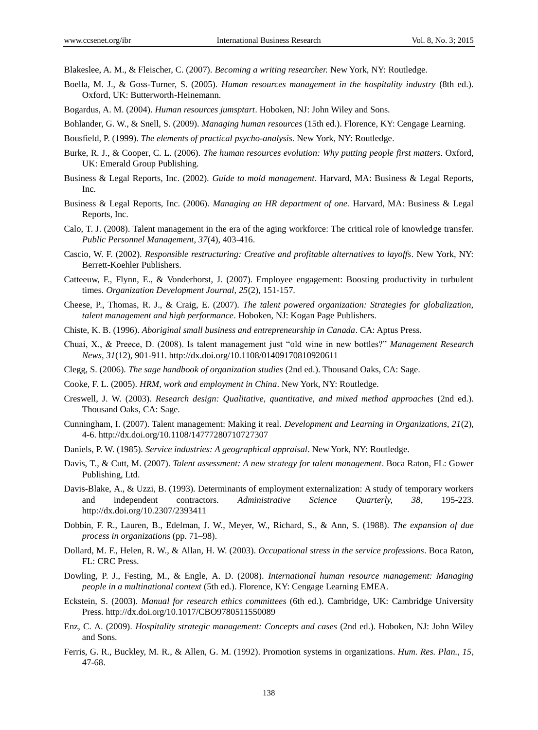Blakeslee, A. M., & Fleischer, C. (2007). *Becoming a writing researcher.* New York, NY: Routledge.

- Boella, M. J., & Goss-Turner, S. (2005). *Human resources management in the hospitality industry* (8th ed.). Oxford, UK: Butterworth-Heinemann.
- Bogardus, A. M. (2004). *Human resources jumsptart*. Hoboken, NJ: John Wiley and Sons.
- Bohlander, G. W., & Snell, S. (2009). *Managing human resources* (15th ed.). Florence, KY: Cengage Learning.
- Bousfield, P. (1999). *The elements of practical psycho-analysis*. New York, NY: Routledge.
- Burke, R. J., & Cooper, C. L. (2006). *The human resources evolution: Why putting people first matters*. Oxford, UK: Emerald Group Publishing.
- Business & Legal Reports, Inc. (2002). *Guide to mold management*. Harvard, MA: Business & Legal Reports, Inc.
- Business & Legal Reports, Inc. (2006). *Managing an HR department of one.* Harvard, MA: Business & Legal Reports, Inc.
- Calo, T. J. (2008). Talent management in the era of the aging workforce: The critical role of knowledge transfer. *Public Personnel Management, 37*(4), 403-416.
- Cascio, W. F. (2002). *Responsible restructuring: Creative and profitable alternatives to layoffs*. New York, NY: Berrett-Koehler Publishers.
- Catteeuw, F., Flynn, E., & Vonderhorst, J. (2007). Employee engagement: Boosting productivity in turbulent times. *Organization Development Journal, 25*(2), 151-157.
- Cheese, P., Thomas, R. J., & Craig, E. (2007). *The talent powered organization: Strategies for globalization, talent management and high performance*. Hoboken, NJ: Kogan Page Publishers.
- Chiste, K. B. (1996). *Aboriginal small business and entrepreneurship in Canada*. CA: Aptus Press.
- Chuai, X., & Preece, D. (2008). Is talent management just "old wine in new bottles?" *Management Research News, 31*(12), 901-911. http://dx.doi.org/10.1108/01409170810920611
- Clegg, S. (2006). *The sage handbook of organization studies* (2nd ed.). Thousand Oaks, CA: Sage.
- Cooke, F. L. (2005). *HRM, work and employment in China*. New York, NY: Routledge.
- Creswell, J. W. (2003). *Research design: Qualitative, quantitative, and mixed method approaches* (2nd ed.). Thousand Oaks, CA: Sage.
- Cunningham, I. (2007). Talent management: Making it real. *Development and Learning in Organizations, 21*(2), 4-6. http://dx.doi.org/10.1108/14777280710727307
- Daniels, P. W. (1985). *Service industries: A geographical appraisal*. New York, NY: Routledge.
- Davis, T., & Cutt, M. (2007). *Talent assessment: A new strategy for talent management*. Boca Raton, FL: Gower Publishing, Ltd.
- Davis-Blake, A., & Uzzi, B. (1993). Determinants of employment externalization: A study of temporary workers and independent contractors. *Administrative Science Quarterly, 38*, 195-223. http://dx.doi.org/10.2307/2393411
- Dobbin, F. R., Lauren, B., Edelman, J. W., Meyer, W., Richard, S., & Ann, S. (1988). *The expansion of due process in organizations* (pp. 71–98).
- Dollard, M. F., Helen, R. W., & Allan, H. W. (2003). *Occupational stress in the service professions*. Boca Raton, FL: CRC Press.
- Dowling, P. J., Festing, M., & Engle, A. D. (2008). *International human resource management: Managing people in a multinational context* (5th ed.). Florence, KY: Cengage Learning EMEA.
- Eckstein, S. (2003). *Manual for research ethics committees* (6th ed.). Cambridge, UK: Cambridge University Press. http://dx.doi.org/10.1017/CBO9780511550089
- Enz, C. A. (2009). *Hospitality strategic management: Concepts and cases* (2nd ed.). Hoboken, NJ: John Wiley and Sons.
- Ferris, G. R., Buckley, M. R., & Allen, G. M. (1992). Promotion systems in organizations. *Hum. Res. Plan., 15*, 47-68.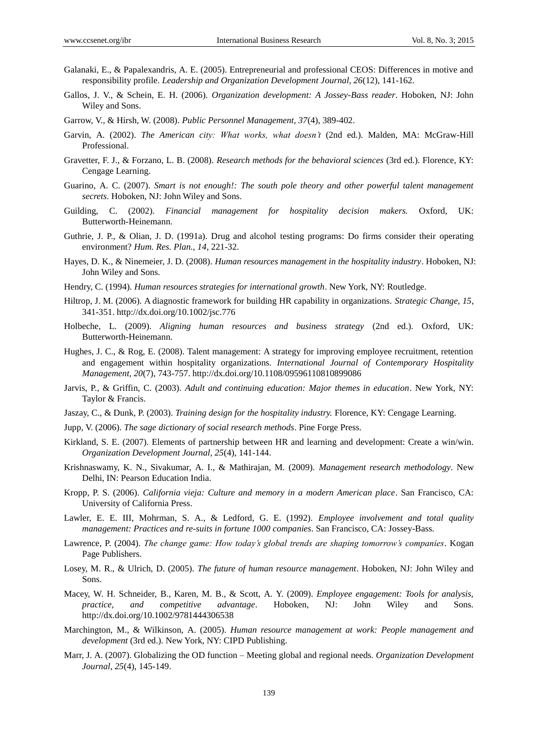- Galanaki, E., & Papalexandris, A. E. (2005). Entrepreneurial and professional CEOS: Differences in motive and responsibility profile. *Leadership and Organization Development Journal, 26*(12), 141-162.
- Gallos, J. V., & Schein, E. H. (2006). *Organization development: A Jossey-Bass reader*. Hoboken, NJ: John Wiley and Sons.
- Garrow, V., & Hirsh, W. (2008). *Public Personnel Management, 37*(4), 389-402.
- Garvin, A. (2002). *The American city: What works, what doesn't* (2nd ed.). Malden, MA: McGraw-Hill Professional.
- Gravetter, F. J., & Forzano, L. B. (2008). *Research methods for the behavioral sciences* (3rd ed.). Florence, KY: Cengage Learning.
- Guarino, A. C. (2007). *Smart is not enough!: The south pole theory and other powerful talent management secrets*. Hoboken, NJ: John Wiley and Sons.
- Guilding, C. (2002). *Financial management for hospitality decision makers.* Oxford, UK: Butterworth-Heinemann.
- Guthrie, J. P., & Olian, J. D. (1991a). Drug and alcohol testing programs: Do firms consider their operating environment? *Hum. Res. Plan., 14*, 221-32.
- Hayes, D. K., & Ninemeier, J. D. (2008). *Human resources management in the hospitality industry*. Hoboken, NJ: John Wiley and Sons.
- Hendry, C. (1994). *Human resources strategies for international growth*. New York, NY: Routledge.
- Hiltrop, J. M. (2006). A diagnostic framework for building HR capability in organizations. *Strategic Change, 15*, 341-351. http://dx.doi.org/10.1002/jsc.776
- Holbeche, L. (2009). *Aligning human resources and business strategy* (2nd ed.). Oxford, UK: Butterworth-Heinemann.
- Hughes, J. C., & Rog, E. (2008). Talent management: A strategy for improving employee recruitment, retention and engagement within hospitality organizations. *International Journal of Contemporary Hospitality Management, 20*(7), 743-757. http://dx.doi.org/10.1108/09596110810899086
- Jarvis, P., & Griffin, C. (2003). *Adult and continuing education: Major themes in education*. New York, NY: Taylor & Francis.
- Jaszay, C., & Dunk, P. (2003). *Training design for the hospitality industry.* Florence, KY: Cengage Learning.
- Jupp, V. (2006). *The sage dictionary of social research methods*. Pine Forge Press.
- Kirkland, S. E. (2007). Elements of partnership between HR and learning and development: Create a win/win. *Organization Development Journal, 25*(4), 141-144.
- Krishnaswamy, K. N., Sivakumar, A. I., & Mathirajan, M. (2009). *Management research methodology*. New Delhi, IN: Pearson Education India.
- Kropp, P. S. (2006). *California vieja: Culture and memory in a modern American place*. San Francisco, CA: University of California Press.
- Lawler, E. E. III, Mohrman, S. A., & Ledford, G. E. (1992). *Employee involvement and total quality management: Practices and re-suits in fortune 1000 companies*. San Francisco, CA: Jossey-Bass.
- Lawrence, P. (2004). *The change game: How today's global trends are shaping tomorrow's companies*. Kogan Page Publishers.
- Losey, M. R., & Ulrich, D. (2005). *The future of human resource management*. Hoboken, NJ: John Wiley and Sons.
- Macey, W. H. Schneider, B., Karen, M. B., & Scott, A. Y. (2009). *Employee engagement: Tools for analysis, practice, and competitive advantage*. Hoboken, NJ: John Wiley and Sons. http://dx.doi.org/10.1002/9781444306538
- Marchington, M., & Wilkinson, A. (2005). *Human resource management at work: People management and development* (3rd ed.). New York, NY: CIPD Publishing.
- Marr, J. A. (2007). Globalizing the OD function Meeting global and regional needs. *Organization Development Journal, 25*(4), 145-149.